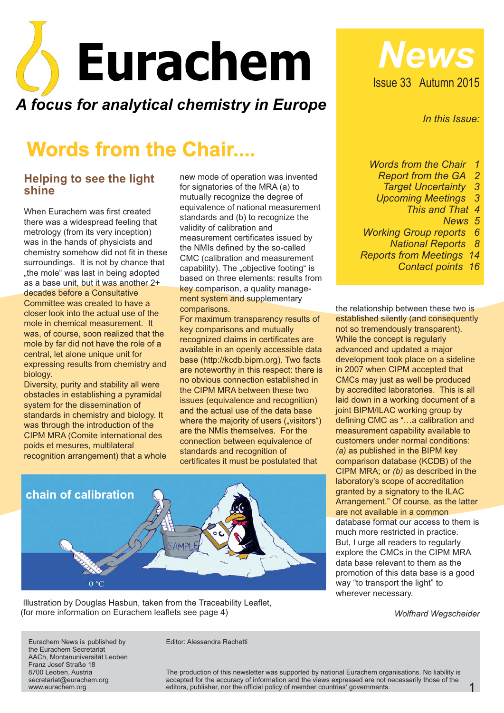

# **Words from the Chair....**

#### **Helping to see the light shine**

When Eurachem was first created there was a widespread feeling that metrology (from its very inception) was in the hands of physicists and chemistry somehow did not fit in these surroundings. It is not by chance that ..the mole" was last in being adopted as a base unit, but it was another 2+ decades before a Consultative Committee was created to have a closer look into the actual use of the mole in chemical measurement. It was, of course, soon realized that the mole by far did not have the role of a central, let alone unique unit for expressing results from chemistry and biology.

Diversity, purity and stability all were obstacles in establishing a pyramidal system for the dissemination of standards in chemistry and biology. It was through the introduction of the CIPM MRA (Comite international des poids et mesures, multilateral recognition arrangement) that a whole new mode of operation was invented for signatories of the MRA (a) to mutually recognize the degree of equivalence of national measurement standards and (b) to recognize the validity of calibration and measurement certificates issued by the NMIs defined by the so-called CMC (calibration and measurement capability). The "objective footing" is based on three elements: results from key comparison, a quality management system and supplementary comparisons.

For maximum transparency results of key comparisons and mutually recognized claims in certificates are available in an openly accessible data base (http://kcdb.bipm.org). Two facts are noteworthy in this respect: there is no obvious connection established in the CIPM MRA between these two issues (equivalence and recognition) and the actual use of the data base where the majority of users ("visitors") are the NMIs themselves. For the connection between equivalence of standards and recognition of certificates it must be postulated that



Illustration by Douglas Hasbun, taken from the Traceability Leaflet, (for more information on Eurachem leaflets see page 4)

Issue 33 Autumn 2015 *News*

*In this Issue:*

*Words from the Chair 1*

- *Report from the GA 2*
- *Target Uncertainty 3*
- *Upcoming Meetings 3*
	- *This and That 4*
		- *News 5*
- *Working Group reports 6*

*National Reports 8*

*Reports from Meetings 14*

*Contact points 16*

the relationship between these two is established silently (and consequently not so tremendously transparent). While the concept is regularly advanced and updated a major development took place on a sideline in 2007 when CIPM accepted that CMCs may just as well be produced by accredited laboratories. This is all laid down in a working document of a joint BIPM/ILAC working group by defining CMC as "…a calibration and measurement capability available to customers under normal conditions: *(a)* as published in the BIPM key comparison database (KCDB) of the CIPM MRA; or (b) as described in the laboratory's scope of accreditation granted by a signatory to the ILAC Arrangement." Of course, as the latter are not available in a common database format our access to them is much more restricted in practice. But, I urge all readers to regularly explore the CMCs in the CIPM MRA data base relevant to them as the promotion of this data base is a good way "to transport the light" to wherever necessary.

*Wolfhard Wegscheider*

1

Eurachem News is published by the Eurachem Secretariat AACh, Montanuniversität Leoben Franz Josef Straße 18 8700 Leoben, Austria secretariat@eurachem.org www.eurachem.org

Editor: Alessandra Rachetti

The production of this newsletter was supported by national Eurachem organisations. No liability is accapted for the accuracy of information and the views expressed are not necessarily those of the editors, publisher, nor the official policy of member countries' governments.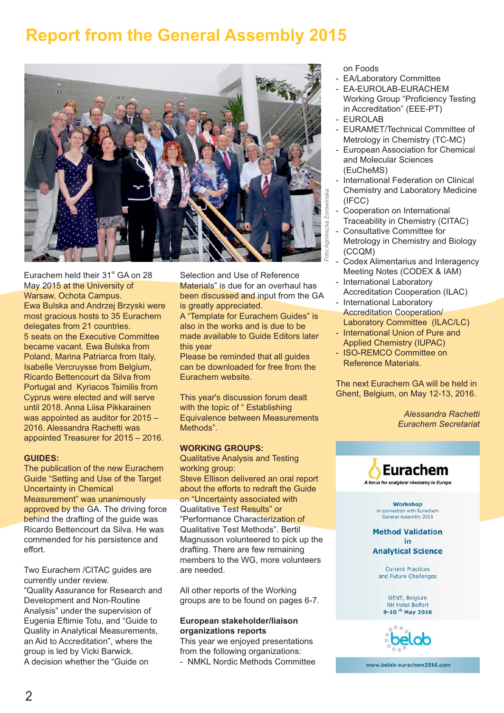## **Report from the General Assembly 2015**



Eurachem held their  $31<sup>st</sup>$  GA on 28 May 2015 at the University of Warsaw, Ochota Campus. Ewa Bulska and Andrzej Brzyski were most gracious hosts to 35 Eurachem delegates from 21 countries. 5 seats on the Executive Committee became vacant. Ewa Bulska from Poland, Marina Patriarca from Italy, Isabelle Vercruysse from Belgium, Ricardo Bettencourt da Silva from Portugal and Kyriacos Tsimilis from Cyprus were elected and will serve until 2018. Anna Liisa Pikkarainen was appointed as auditor for 2015 – 2016. Alessandra Rachetti was appointed Treasurer for 2015 – 2016.

#### **GUIDES:**

The publication of the new Eurachem Guide "Setting and Use of the Target Uncertainty in Chemical Measurement" was unanimously approved by the GA. The driving force behind the drafting of the guide was Ricardo Bettencourt da Silva. He was commended for his persistence and effort.

Two Eurachem /CITAC guides are currently under review. "Quality Assurance for Research and Development and Non-Routine Analysis" under the supervision of Eugenia Eftimie Totu, and "Guide to Quality in Analytical Measurements, an Aid to Accreditation", where the group is led by Vicki Barwick. A decision whether the "Guide on

Selection and Use of Reference Materials" is due for an overhaul has been discussed and input from the GA is greatly appreciated.

A "Template for Eurachem Guides" is also in the works and is due to be made available to Guide Editors later this year

Please be reminded that all guides can be downloaded for free from the Eurachem website.

This year's discussion forum dealt with the topic of "Establishing Equivalence between Measurements Methods".

#### **WORKING GROUPS:**

Qualitative Analysis and Testing working group: Steve Ellison delivered an oral report about the efforts to redraft the Guide on "Uncertainty associated with Qualitative Test Results" or "Performance Characterization of Qualitative Test Methods". Bertil Magnusson volunteered to pick up the drafting. There are few remaining members to the WG, more volunteers are needed.

All other reports of the Working groups are to be found on pages 6-7.

#### **European stakeholder/liaison organizations reports**

This year we enjoyed presentations from the following organizations:

- NMKL Nordic Methods Committee

on Foods

- EA/Laboratory Committee
- EA-EUROLAB-EURACHEM Working Group "Proficiency Testing in Accreditation" (EEE-PT)
- EUROLAB
- EURAMET/Technical Committee of Metrology in Chemistry (TC-MC)
- European Association for Chemical and Molecular Sciences (EuCheMS)
- International Federation on Clinical Chemistry and Laboratory Medicine (IFCC)
- Cooperation on International Traceability in Chemistry (CITAC)
- Consultative Committee for Metrology in Chemistry and Biology (CCQM)
- Codex Alimentarius and Interagency Meeting Notes (CODEX & IAM)
- International Laboratory Accreditation Cooperation (ILAC)
- International Laboratory **Accreditation Cooperation/** Laboratory Committee (ILAC/LC)
- International Union of Pure and Applied Chemistry (IUPAC)
- ISO-REMCO Committee on Reference Materials.

The next Eurachem GA will be held in Ghent, Belgium, on May 12-13, 2016.

> *Alessandra Rachetti Eurachem Secretariat*



in connection with Eurachem<br>General Assembly 2016

**Method Validation** in **Analytical Science** 

> **Current Practices** and Future Challenges

GENT, Belgium NH Hotel Belfort 9-10<sup>th</sup> May 2016



www.belab-eurachem2016.com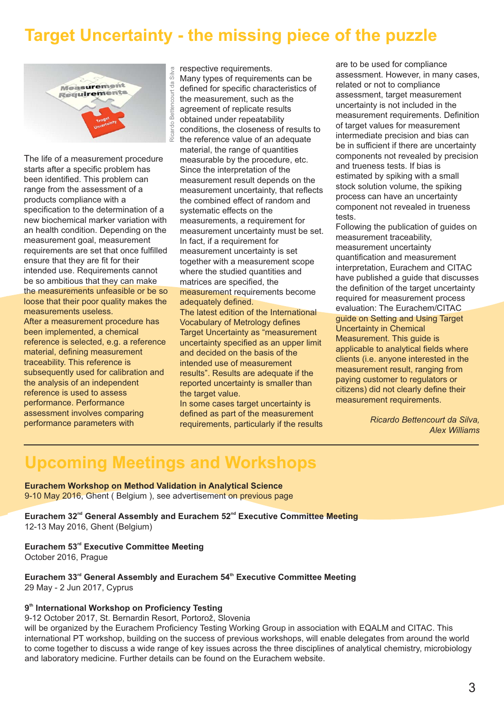## **Target Uncertainty - the missing piece of the puzzle**



The life of a measurement procedure starts after a specific problem has been identified. This problem can range from the assessment of a products compliance with a specification to the determination of a new biochemical marker variation with an health condition. Depending on the measurement goal, measurement requirements are set that once fulfilled ensure that they are fit for their intended use. Requirements cannot be so ambitious that they can make the measurements unfeasible or be so loose that their poor quality makes the measurements useless. After a measurement procedure has been implemented, a chemical reference is selected, e.g. a reference material, defining measurement traceability. This reference is subsequently used for calibration and the analysis of an independent reference is used to assess performance. Performance assessment involves comparing

performance parameters with

respective requirements. Many types of requirements can be defined for specific characteristics of the measurement, such as the agreement of replicate results obtained under repeatability conditions, the closeness of results to the reference value of an adequate material, the range of quantities measurable by the procedure, etc. Since the interpretation of the measurement result depends on the measurement uncertainty, that reflects the combined effect of random and systematic effects on the measurements, a requirement for measurement uncertainty must be set. In fact, if a requirement for measurement uncertainty is set together with a measurement scope where the studied quantities and matrices are specified, the measurement requirements become adequately defined. The latest edition of the International

Vocabulary of Metrology defines Target Uncertainty as "measurement" uncertainty specified as an upper limit and decided on the basis of the intended use of measurement results". Results are adequate if the reported uncertainty is smaller than the target value.

In some cases target uncertainty is defined as part of the measurement requirements, particularly if the results are to be used for compliance assessment. However, in many cases, related or not to compliance assessment, target measurement uncertainty is not included in the measurement requirements. Definition of target values for measurement intermediate precision and bias can be in sufficient if there are uncertainty components not revealed by precision and trueness tests. If bias is estimated by spiking with a small stock solution volume, the spiking process can have an uncertainty component not revealed in trueness tests.

Following the publication of guides on measurement traceability, measurement uncertainty quantification and measurement interpretation, Eurachem and CITAC have published a guide that discusses the definition of the target uncertainty required for measurement process evaluation: The Eurachem/CITAC guide on Setting and Using Target Uncertainty in Chemical Measurement. This guide is applicable to analytical fields where clients (i.e. anyone interested in the measurement result, ranging from paying customer to regulators or citizens) did not clearly define their measurement requirements.

> *Ricardo Bettencourt da Silva, Alex Williams*

## **Upcoming Meetings and Workshops**

**Eurachem Workshop on Method Validation in Analytical Science** 9-10 May 2016, Ghent ( Belgium ), see advertisement on previous page

**Eurachem 32<sup>nd</sup> General Assembly and Eurachem 52<sup>nd</sup> Executive Committee Meeting** 12-13 May 2016, Ghent (Belgium)

#### **Eurachem 53rd Executive Committee Meeting** October 2016, Prague

Eurachem 33<sup>rd</sup> General Assembly and Eurachem 54<sup>th</sup> Executive Committee Meeting 29 May - 2 Jun 2017, Cyprus

#### **9<sup>th</sup> International Workshop on Proficiency Testing**

9-12 October 2017, St. Bernardin Resort, Portorož, Slovenia

will be organized by the Eurachem Proficiency Testing Working Group in association with EQALM and CITAC. This international PT workshop, building on the success of previous workshops, will enable delegates from around the world to come together to discuss a wide range of key issues across the three disciplines of analytical chemistry, microbiology and laboratory medicine. Further details can be found on the Eurachem website.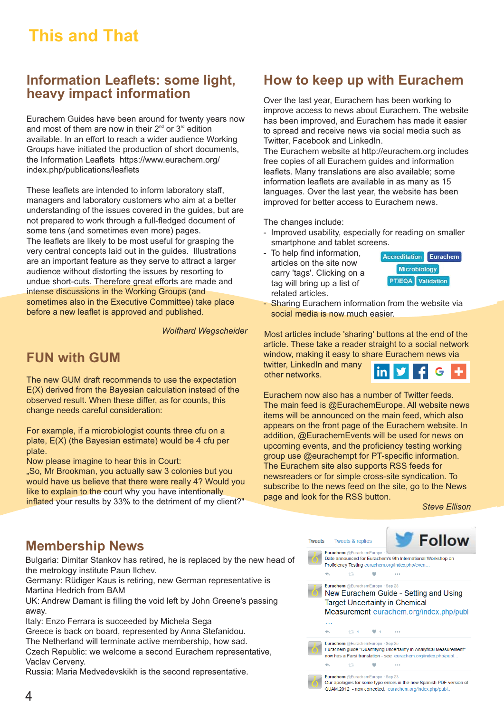## **This and That**

#### **Information Leaflets: some light, heavy impact information**

Eurachem Guides have been around for twenty years now and most of them are now in their  $2^{nd}$  or  $3^{rd}$  edition available. In an effort to reach a wider audience Working Groups have initiated the production of short documents, the Information Leaflets https://www.eurachem.org/ index.php/publications/leaflets

These leaflets are intended to inform laboratory staff, managers and laboratory customers who aim at a better understanding of the issues covered in the guides, but are not prepared to work through a full-fledged document of some tens (and sometimes even more) pages. The leaflets are likely to be most useful for grasping the very central concepts laid out in the quides. Illustrations are an important feature as they serve to attract a larger audience without distorting the issues by resorting to undue short-cuts. Therefore great efforts are made and intense discussions in the Working Groups (and sometimes also in the Executive Committee) take place before a new leaflet is approved and published.

*Wolfhard Wegscheider*

### **FUN with GUM**

The new GUM draft recommends to use the expectation E(X) derived from the Bayesian calculation instead of the observed result. When these differ, as for counts, this change needs careful consideration:

For example, if a microbiologist counts three cfu on a plate, E(X) (the Bayesian estimate) would be 4 cfu per plate.

Now please imagine to hear this in Court:

"So, Mr Brookman, you actually saw 3 colonies but you would have us believe that there were really 4? Would you like to explain to the court why you have intentionally inflated your results by 33% to the detriment of my client?"

#### **How to keep up with Eurachem**

Over the last year, Eurachem has been working to improve access to news about Eurachem. The website has been improved, and Eurachem has made it easier to spread and receive news via social media such as Twitter, Facebook and LinkedIn.

The Eurachem website at http://eurachem.org includes free copies of all Eurachem guides and information leaflets. Many translations are also available; some information leaflets are available in as many as 15 languages. Over the last year, the website has been improved for better access to Eurachem news.

The changes include:

- Improved usability, especially for reading on smaller smartphone and tablet screens.
- To help find information, articles on the site now carry 'tags'. Clicking on a tag will bring up a list of related articles.



- Sharing Eurachem information from the website via social media is now much easier.

Most articles include 'sharing' buttons at the end of the article. These take a reader straight to a social network window, making it easy to share Eurachem news via twitter, LinkedIn and many **in IV** G other networks.

Eurachem now also has a number of Twitter feeds. The main feed is @EurachemEurope. All website news items will be announced on the main feed, which also appears on the front page of the Eurachem website. In addition, @EurachemEvents will be used for news on upcoming events, and the proficiency testing working group use @eurachempt for PT-specific information. The Eurachem site also supports RSS feeds for newsreaders or for simple cross-site syndication. To subscribe to the news feed on the site, go to the News page and look for the RSS button.

*Steve Ellison*

#### **Membership News**

Bulgaria: Dimitar Stankov has retired, he is replaced by the new head of the metrology institute Paun Ilchev.

Germany: Rüdiger Kaus is retiring, new German representative is Martina Hedrich from BAM

UK: Andrew Damant is filling the void left by John Greene's passing away.

Italy: Enzo Ferrara is succeeded by Michela Sega Greece is back on board, represented by Anna Stefanidou.

The Netherland will terminate active membership, how sad.

Czech Republic: we welcome a second Eurachem representative, Vaclav Cerveny.

Russia: Maria Medvedevskikh is the second representative.

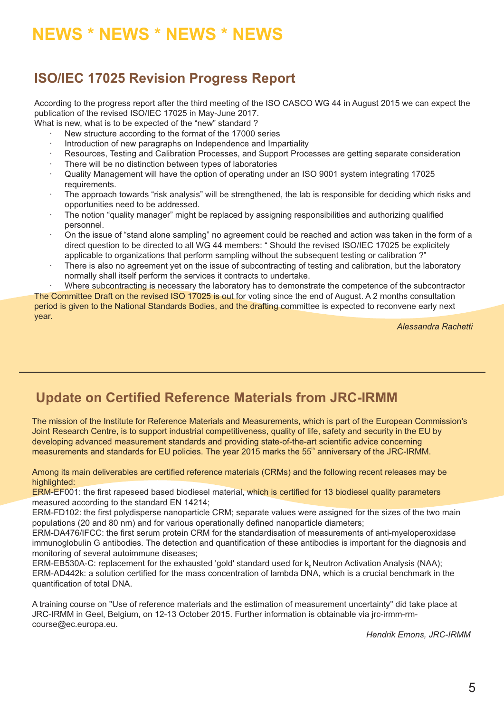## **NEWS \* NEWS \* NEWS \* NEWS**

### **ISO/IEC 17025 Revision Progress Report**

According to the progress report after the third meeting of the ISO CASCO WG 44 in August 2015 we can expect the publication of the revised ISO/IEC 17025 in May-June 2017.

What is new, what is to be expected of the "new" standard ?

- New structure according to the format of the 17000 series
- · Introduction of new paragraphs on Independence and Impartiality
- Resources, Testing and Calibration Processes, and Support Processes are getting separate consideration
- There will be no distinction between types of laboratories
- · Quality Management will have the option of operating under an ISO 9001 system integrating 17025 requirements.
- The approach towards "risk analysis" will be strengthened, the lab is responsible for deciding which risks and opportunities need to be addressed.
- The notion "quality manager" might be replaced by assigning responsibilities and authorizing qualified personnel.
- On the issue of "stand alone sampling" no agreement could be reached and action was taken in the form of a direct question to be directed to all WG 44 members: " Should the revised ISO/IEC 17025 be explicitely applicable to organizations that perform sampling without the subsequent testing or calibration ?"
- There is also no agreement yet on the issue of subcontracting of testing and calibration, but the laboratory normally shall itself perform the services it contracts to undertake.

Where subcontracting is necessary the laboratory has to demonstrate the competence of the subcontractor The Committee Draft on the revised ISO 17025 is out for voting since the end of August. A 2 months consultation period is given to the National Standards Bodies, and the drafting committee is expected to reconvene early next year.

*Alessandra Rachetti*

### **Update on Certified Reference Materials from JRC-IRMM**

The mission of the Institute for Reference Materials and Measurements, which is part of the European Commission's Joint Research Centre, is to support industrial competitiveness, quality of life, safety and security in the EU by developing advanced measurement standards and providing state-of-the-art scientific advice concerning measurements and standards for EU policies. The year 2015 marks the 55<sup>th</sup> anniversary of the JRC-IRMM.

Among its main deliverables are certified reference materials (CRMs) and the following recent releases may be highlighted:

ERM-EF001: the first rapeseed based biodiesel material, which is certified for 13 biodiesel quality parameters measured according to the standard EN 14214;

ERM-FD102: the first polydisperse nanoparticle CRM; separate values were assigned for the sizes of the two main populations (20 and 80 nm) and for various operationally defined nanoparticle diameters;

ERM-DA476/IFCC: the first serum protein CRM for the standardisation of measurements of anti-myeloperoxidase immunoglobulin G antibodies. The detection and quantification of these antibodies is important for the diagnosis and monitoring of several autoimmune diseases;

ERM-EB530A-C: replacement for the exhausted 'gold' standard used for  $k_0$  Neutron Activation Analysis (NAA); ERM-AD442k: a solution certified for the mass concentration of lambda DNA, which is a crucial benchmark in the quantification of total DNA.

A training course on "Use of reference materials and the estimation of measurement uncertainty" did take place at JRC-IRMM in Geel, Belgium, on 12-13 October 2015. Further information is obtainable via jrc-irmm-rmcourse@ec.europa.eu.

*Hendrik Emons JRC-IRMM ,*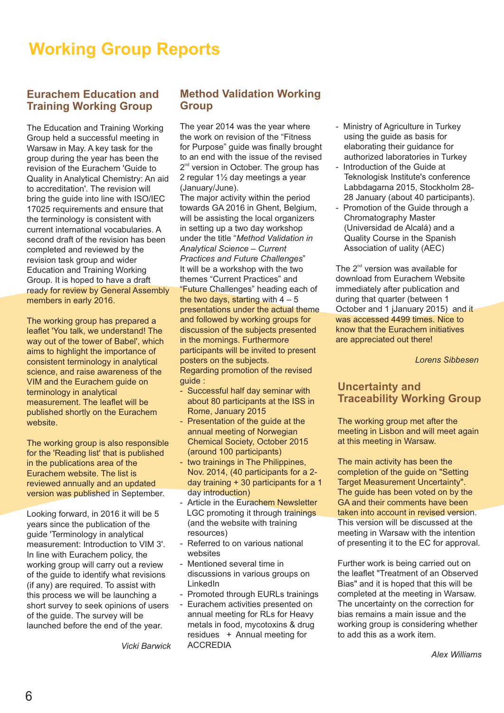## **Working Group Reports**

#### **Eurachem Education and Training Working Group**

The Education and Training Working Group held a successful meeting in Warsaw in May. A key task for the group during the year has been the revision of the Eurachem 'Guide to Quality in Analytical Chemistry: An aid to accreditation'. The revision will bring the guide into line with ISO/IEC 17025 requirements and ensure that the terminology is consistent with current international vocabularies. A second draft of the revision has been completed and reviewed by the revision task group and wider Education and Training Working Group. It is hoped to have a draft ready for review by General Assembly members in early 2016.

The working group has prepared a leaflet 'You talk, we understand! The way out of the tower of Babel', which aims to highlight the importance of consistent terminology in analytical science, and raise awareness of the VIM and the Eurachem guide on terminology in analytical measurement. The leaflet will be published shortly on the Eurachem website.

The working group is also responsible for the 'Reading list' that is published in the publications area of the Eurachem website. The list is reviewed annually and an updated version was published in September.

Looking forward, in 2016 it will be 5 years since the publication of the guide 'Terminology in analytical measurement: Introduction to VIM 3'. In line with Eurachem policy, the working group will carry out a review of the guide to identify what revisions (if any) are required. To assist with this process we will be launching a short survey to seek opinions of users of the guide. The survey will be launched before the end of the year.

#### **Method Validation Working Group**

The year 2014 was the year where the work on revision of the "Fitness for Purpose" guide was finally brought to an end with the issue of the revised  $2<sup>nd</sup>$  version in October. The group has 2 regular 1½ day meetings a year (January/June).

The major activity within the period towards GA 2016 in Ghent, Belgium, will be assisting the local organizers in setting up a two day workshop under the title "*Method Validation in Analytical Science – Current Practices and Future Challenges*" It will be a workshop with the two themes "Current Practices" and "Future Challenges" heading each of the two days, starting with  $4 - 5$ presentations under the actual theme and followed by working groups for discussion of the subjects presented in the mornings. Furthermore participants will be invited to present posters on the subjects. Regarding promotion of the revised

guide :

- Successful half day seminar with about 80 participants at the ISS in Rome, January 2015
- Presentation of the guide at the annual meeting of Norwegian Chemical Society, October 2015 (around 100 participants)
- two trainings in The Philippines, Nov. 2014, (40 participants for a 2 day training + 30 participants for a 1 day introduction)
- Article in the Eurachem Newsletter LGC promoting it through trainings (and the website with training resources)
- Referred to on various national websites
- Mentioned several time in discussions in various groups on LinkedIn
- Promoted through EURLs trainings
- Eurachem activities presented on annual meeting for RLs for Heavy metals in food, mycotoxins & drug residues + Annual meeting for ACCREDIA
- Ministry of Agriculture in Turkey using the guide as basis for elaborating their guidance for authorized laboratories in Turkey
- Introduction of the Guide at Teknologisk Institute's conference Labbdagarna 2015, Stockholm 28- 28 January (about 40 participants).
- Promotion of the Guide through a Chromatography Master (Universidad de Alcalá) and a Quality Course in the Spanish Association of uality (AEC)

The  $2<sup>nd</sup>$  version was available for download from Eurachem Website immediately after publication and during that quarter (between 1 October and 1 jJanuary 2015) and it was accessed 4499 times. Nice to know that the Eurachem initiatives are appreciated out there!

*Lorens Sibbesen*

#### **Uncertainty and Traceability Working Group**

The working group met after the meeting in Lisbon and will meet again at this meeting in Warsaw.

The main activity has been the completion of the guide on "Setting Target Measurement Uncertainty". The guide has been voted on by the GA and their comments have been taken into account in revised version. This version will be discussed at the meeting in Warsaw with the intention of presenting it to the EC for approval.

Further work is being carried out on the leaflet "Treatment of an Observed Bias" and it is hoped that this will be completed at the meeting in Warsaw. The uncertainty on the correction for bias remains a main issue and the working group is considering whether to add this as a work item.

*Vicki Barwick*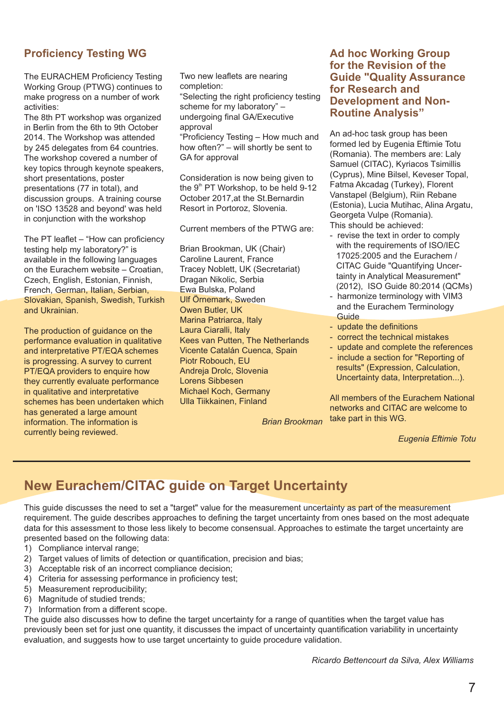#### **Proficiency Testing WG**

The EURACHEM Proficiency Testing Working Group (PTWG) continues to make progress on a number of work activities:

The 8th PT workshop was organized in Berlin from the 6th to 9th October 2014. The Workshop was attended by 245 delegates from 64 countries. The workshop covered a number of key topics through keynote speakers, short presentations, poster presentations (77 in total), and discussion groups. A training course on 'ISO 13528 and beyond' was held in conjunction with the workshop

The PT leaflet – "How can proficiency testing help my laboratory?" is available in the following languages on the Eurachem website – Croatian, Czech, English, Estonian, Finnish, French, German, Italian, Serbian, Slovakian, Spanish, Swedish, Turkish and Ukrainian.

The production of guidance on the performance evaluation in qualitative and interpretative PT/EQA schemes is progressing. A survey to current PT/EQA providers to enquire how they currently evaluate performance in qualitative and interpretative schemes has been undertaken which has generated a large amount information. The information is currently being reviewed.

Two new leaflets are nearing completion:

"Selecting the right proficiency testing scheme for my laboratory" – undergoing final GA/Executive approval

"Proficiency Testing – How much and how often?" – will shortly be sent to GA for approval

Consideration is now being given to the  $9<sup>th</sup>$  PT Workshop, to be held 9-12 October 2017,at the St.Bernardin Resort in Portoroz, Slovenia.

Current members of the PTWG are:

Brian Brookman, UK (Chair) Caroline Laurent, France Tracey Noblett, UK (Secretariat) Dragan Nikolic, Serbia Ewa Bulska, Poland Ulf Örnemark, Sweden Owen Butler, UK Marina Patriarca, Italy Laura Ciaralli, Italy Kees van Putten, The Netherlands Vicente Catalán Cuenca, Spain Piotr Robouch, EU Andreja Drolc, Slovenia Lorens Sibbesen Michael Koch, Germany Ulla Tiikkainen, Finland

*Brian Brookman*

#### **Ad hoc Working Group for the Revision of the Guide "Quality Assurance for Research and Development and Non-Routine Analysis"**

An ad-hoc task group has been formed led by Eugenia Eftimie Totu  $(Romania)$ . The members are: Laly Samuel (CITAC), Kyriacos Tsimillis (Cyprus), Mine Bilsel, Keveser Topal, Fatma Akcadag (Turkey), Florent Vanstapel (Belgium), Riin Rebane (Estonia), Lucia Mutihac, Alina Argatu, Georgeta Vulpe (Romania). This should be achieved:

- revise the text in order to comply with the requirements of ISO/IEC 17025:2005 and the Eurachem / CITAC Guide "Quantifying Uncertainty in Analytical Measurement" (2012), ISO Guide 80:2014 (QCMs)
- harmonize terminology with VIM3 and the Eurachem Terminology **Guide**
- update the definitions
- correct the technical mistakes
- update and complete the references
- include a section for "Reporting of results" (Expression, Calculation, Uncertainty data, Interpretation...).

All members of the Eurachem National networks and CITAC are welcome to take part in this WG.

*Eugenia Eftimie Totu*

### **New Eurachem/CITAC guide on Target Uncertainty**

This quide discusses the need to set a "target" value for the measurement uncertainty as part of the measurement requirement. The guide describes approaches to defining the target uncertainty from ones based on the most adequate data for this assessment to those less likely to become consensual. Approaches to estimate the target uncertainty are presented based on the following data:

- 1) Compliance interval range;
- 2) Target values of limits of detection or quantification, precision and bias;
- 3) Acceptable risk of an incorrect compliance decision;
- 4) Criteria for assessing performance in proficiency test;
- 5) Measurement reproducibility;
- 6) Magnitude of studied trends;
- 7) Information from a different scope.

The guide also discusses how to define the target uncertainty for a range of quantities when the target value has previously been set for just one quantity, it discusses the impact of uncertainty quantification variability in uncertainty evaluation, and suggests how to use target uncertainty to guide procedure validation.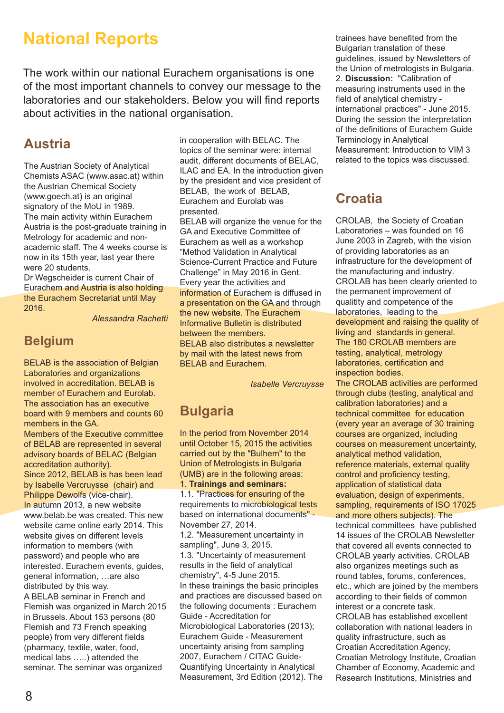## **National Reports**

The work within our national Eurachem organisations is one of the most important channels to convey our message to the laboratories and our stakeholders. Below you will find reports about activities in the national organisation.

#### **Austria**

The Austrian Society of Analytical Chemists ASAC (www.asac.at) within the Austrian Chemical Society (www.goech.at) is an original signatory of the MoU in 1989. The main activity within Eurachem Austria is the post-graduate training in Metrology for academic and nonacademic staff. The 4 weeks course is now in its 15th year, last year there were 20 students.

Dr Wegscheider is current Chair of Eurachem and Austria is also holding the Eurachem Secretariat until May 2016.

*Alessandra Rachetti*

#### **Belgium**

BELAB is the association of Belgian Laboratories and organizations involved in accreditation. BELAB is member of Eurachem and Eurolab. The association has an executive board with 9 members and counts 60 members in the GA Members of the Executive committee of BELAB are represented in several

advisory boards of BELAC (Belgian accreditation authority). Since 2012, BELAB is has been lead by Isabelle Vercruysse (chair) and

Philippe Dewolfs (vice-chair). In autumn 2013, a new website www.belab.be was created. This new website came online early 2014. This website gives on different levels information to members (with password) and people who are interested. Eurachem events, guides, general information, …are also distributed by this way.

A BELAB seminar in French and Flemish was organized in March 2015 in Brussels. About 153 persons (80 Flemish and 73 French speaking people) from very different fields (pharmacy, textile, water, food, medical labs …..) attended the seminar. The seminar was organized

in cooperation with BELAC. The topics of the seminar were: internal audit, different documents of BELAC, ILAC and EA. In the introduction given by the president and vice president of BELAB, the work of BELAB, Eurachem and Eurolab was presented.

BELAB will organize the venue for the GA and Executive Committee of Eurachem as well as a workshop "Method Validation in Analytical Science-Current Practice and Future Challenge" in May 2016 in Gent. Every year the activities and information of Eurachem is diffused in a presentation on the GA and through the new website. The Eurachem Informative Bulletin is distributed between the members. BELAB also distributes a newsletter by mail with the latest news from BELAB and Eurachem.

*Isabelle Vercruysse*

### **Bulgaria**

In the period from November 2014 until October 15, 2015 the activities carried out by the "Bulhem" to the Union of Metrologists in Bulgaria (UMB) are in the following areas: 1. **Trainings and seminars:** 1.1. "Practices for ensuring of the requirements to microbiological tests based on international documents" - November 27, 2014. 1.2. "Measurement uncertainty in sampling", June 3, 2015. 1.3. "Uncertainty of measurement results in the field of analytical chemistry", 4-5 June 2015. In these trainings the basic principles and practices are discussed based on the following documents : Eurachem Guide - Accreditation for Microbiological Laboratories (2013); Eurachem Guide - Measurement

uncertainty arising from sampling 2007, Eurachem / CITAC Guide-Quantifying Uncertainty in Analytical Measurement, 3rd Edition (2012). The trainees have benefited from the Bulgarian translation of these guidelines, issued by Newsletters of the Union of metrologists in Bulgaria. 2. **Discussion:** "Calibration of measuring instruments used in the field of analytical chemistry international practices" - June 2015. During the session the interpretation of the definitions of Eurachem Guide Terminology in Analytical Measurement: Introduction to VIM 3 related to the topics was discussed.

#### **Croatia**

CROLAB, the Society of Croatian Laboratories – was founded on 16 June 2003 in Zagreb, with the vision of providing laboratories as an infrastructure for the development of the manufacturing and industry. CROLAB has been clearly oriented to the permanent improvement of qualitity and competence of the laboratories, leading to the development and raising the quality of living and standards in general. The 180 CROLAB members are testing, analytical, metrology laboratories, certification and inspection bodies.

The CROLAB activities are performed through clubs (testing, analytical and calibration laboratories) and a technical committee for education (every year an average of 30 training courses are organized, including courses on measurement uncertainty, analytical method validation, reference materials, external quality control and proficiency testing, application of statistical data evaluation, design of experiments, sampling, requirements of ISO 17025 and more others subjects). The technical committees have published 14 issues of the CROLAB Newsletter that covered all events connected to CROLAB yearly activities. CROLAB also organizes meetings such as round tables, forums, conferences, etc., which are joined by the members according to their fields of common interest or a concrete task. CROLAB has established excellent collaboration with national leaders in

quality infrastructure, such as Croatian Accreditation Agency, Croatian Metrology Institute, Croatian Chamber of Economy, Academic and Research Institutions, Ministries and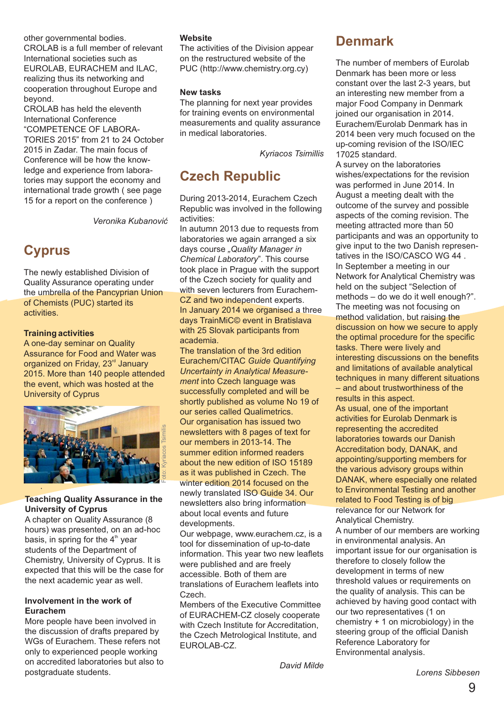other governmental bodies. CROLAB is a full member of relevant International societies such as EUROLAB, EURACHEM and ILAC, realizing thus its networking and cooperation throughout Europe and beyond.

CROLAB has held the eleventh International Conference "COMPETENCE OF LABORA-TORIES 2015" from 21 to 24 October 2015 in Zadar. The main focus of Conference will be how the knowledge and experience from laboratories may support the economy and international trade growth ( see page 15 for a report on the conference )

*Veronika Kubanović*

### **Cyprus**

The newly established Division of Quality Assurance operating under the umbrella of the Pancyprian Union of Chemists (PUC) started its activities.

#### **Training activities**

A one-day seminar on Quality Assurance for Food and Water was organized on Friday, 23<sup>rd</sup> January 2015. More than 140 people attended the event, which was hosted at the University of Cyprus



#### **Teaching Quality Assurance in the University of Cyprus**

A chapter on Quality Assurance (8 hours) was presented, on an ad-hoc basis, in spring for the  $4<sup>th</sup>$  year students of the Department of Chemistry, University of Cyprus. It is expected that this will be the case for the next academic year as well.

#### **Involvement in the work of Eurachem**

More people have been involved in the discussion of drafts prepared by WGs of Eurachem. These refers not only to experienced people working on accredited laboratories but also to postgraduate students.

#### **Website**

The activities of the Division appear on the restructured website of the PUC (http://www.chemistry.org.cy)

#### **New tasks**

The planning for next year provides for training events on environmental measurements and quality assurance in medical laboratories.

*Kyriacos Tsimillis*

#### **Czech Republic**

During 2013-2014, Eurachem Czech Republic was involved in the following activities:

In autumn 2013 due to requests from laboratories we again arranged a six days course *"Quality Manager in Chemical Laboratory*". This course took place in Prague with the support of the Czech society for quality and with seven lecturers from Eurachem-CZ and two independent experts. In January 2014 we organised a three days TrainMiC© event in Bratislava with 25 Slovak participants from academia.

The translation of the 3rd edition Eurachem/CITAC *Guide Quantifying Uncertainty in Analytical Measurement* into Czech language was successfully completed and will be shortly published as volume No 19 of our series called Qualimetrics. Our organisation has issued two newsletters with 8 pages of text for our members in 2013-14. The summer edition informed readers about the new edition of ISO 15189 as it was published in Czech. The winter edition 2014 focused on the newly translated ISO Guide 34. Our newsletters also bring information about local events and future developments.

Our webpage, www.eurachem.cz. is a tool for dissemination of up-to-date information. This year two new leaflets were published and are freely accessible. Both of them are translations of Eurachem leaflets into Czech.

Members of the Executive Committee of EURACHEM-CZ closely cooperate with Czech Institute for Accreditation. the Czech Metrological Institute, and EUROLAB-CZ.

**Denmark**

The number of members of Eurolab Denmark has been more or less constant over the last 2-3 years, but an interesting new member from a major Food Company in Denmark joined our organisation in 2014. Eurachem/Eurolab Denmark has in 2014 been very much focused on the up-coming revision of the ISO/IEC 17025 standard.

A survey on the laboratories wishes/expectations for the revision was performed in June 2014. In August a meeting dealt with the outcome of the survey and possible aspects of the coming revision. The meeting attracted more than 50 participants and was an opportunity to give input to the two Danish representatives in the ISO/CASCO WG 44 . In September a meeting in our Network for Analytical Chemistry was held on the subject "Selection of methods – do we do it well enough?". The meeting was not focusing on method validation, but raising the discussion on how we secure to apply the optimal procedure for the specific tasks. There were lively and interesting discussions on the benefits and limitations of available analytical techniques in many different situations – and about trustworthiness of the results in this aspect. As usual, one of the important activities for Eurolab Denmark is representing the accredited laboratories towards our Danish Accreditation body, DANAK, and appointing/supporting members for the various advisory groups within DANAK, where especially one related to Environmental Testing and another related to Food Testing is of big relevance for our Network for Analytical Chemistry.

A number of our members are working in environmental analysis. An important issue for our organisation is therefore to closely follow the development in terms of new threshold values or requirements on the quality of analysis. This can be achieved by having good contact with our two representatives (1 on chemistry + 1 on microbiology) in the steering group of the official Danish Reference Laboratory for Environmental analysis.

*David Milde*

*Lorens Sibbesen*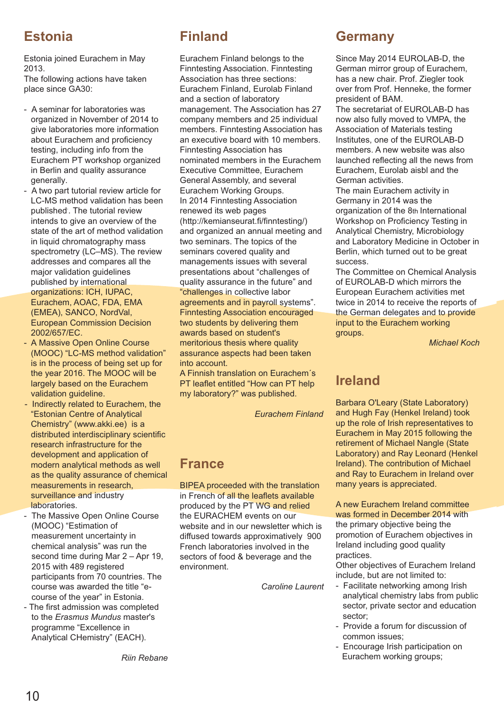### **Estonia**

Estonia joined Eurachem in May 2013.

The following actions have taken place since GA30:

- A seminar for laboratories was organized in November of 2014 to give laboratories more information about Eurachem and proficiency testing, including info from the Eurachem PT workshop organized in Berlin and quality assurance generally.
- A two part tutorial review article for LC-MS method validation has been published. The tutorial review intends to give an overview of the state of the art of method validation in liquid chromatography mass spectrometry (LC–MS). The review addresses and compares all the major validation guidelines published by international organizations: ICH, IUPAC, Eurachem, AOAC, FDA, EMA (EMEA), SANCO, NordVal,

European Commission Decision 2002/657/EC.

- A Massive Open Online Course (MOOC) "LC-MS method validation" is in the process of being set up for the year 2016. The MOOC will be largely based on the Eurachem validation guideline.
- Indirectly related to Eurachem, the "Estonian Centre of Analytical Chemistry" (www.akki.ee) is a distributed interdisciplinary scientific research infrastructure for the development and application of modern analytical methods as well as the quality assurance of chemical measurements in research, surveillance and industry laboratories.
- The Massive Open Online Course (MOOC) "Estimation of measurement uncertainty in chemical analysis" was run the second time during Mar 2 – Apr 19, 2015 with 489 registered participants from 70 countries. The course was awarded the title "ecourse of the year" in Estonia.
- The first admission was completed to the *Erasmus Mundus* master's programme "Excellence in Analytical CHemistry" (EACH).

*Riin Rebane*

## **Finland**

Eurachem Finland belongs to the Finntesting Association. Finntesting Association has three sections: Eurachem Finland, Eurolab Finland and a section of laboratory management. The Association has 27 company members and 25 individual members. Finntesting Association has an executive board with 10 members. Finntesting Association has nominated members in the Eurachem Executive Committee, Eurachem General Assembly, and several Eurachem Working Groups. In 2014 Finntesting Association renewed its web pages (http://kemianseurat.fi/finntesting/) and organized an annual meeting and two seminars. The topics of the seminars covered quality and managements issues with several presentations about "challenges of quality assurance in the future" and "challenges in collective labor agreements and in payroll systems". Finntesting Association encouraged two students by delivering them awards based on student's meritorious thesis where quality assurance aspects had been taken into account.

A Finnish translation on Eurachem's PT leaflet entitled "How can PT help my laboratory?" was published.

*Eurachem Finland*

#### **France**

BIPEA proceeded with the translation in French of all the leaflets available produced by the PT WG and relied the EURACHEM events on our website and in our newsletter which is diffused towards approximatively 900 French laboratories involved in the sectors of food & beverage and the environment.

*Caroline Laurent*

#### **Germany**

Since May 2014 EUROLAB-D, the German mirror group of Eurachem, has a new chair. Prof. Ziegler took over from Prof. Henneke, the former president of BAM.

The secretariat of EUROLAB-D has now also fully moved to VMPA, the Association of Materials testing Institutes, one of the EUROLAB-D members. A new website was also launched reflecting all the news from Eurachem, Eurolab aisbl and the German activities.

The main Eurachem activity in Germany in 2014 was the organization of the 8th International Workshop on Proficiency Testing in Analytical Chemistry, Microbiology and Laboratory Medicine in October in Berlin, which turned out to be great success.

The Committee on Chemical Analysis of EUROLAB-D which mirrors the European Eurachem activities met twice in 2014 to receive the reports of the German delegates and to provide input to the Eurachem working groups.

*Michael Koch*

### **Ireland**

Barbara O'Leary (State Laboratory) and Hugh Fay (Henkel Ireland) took up the role of Irish representatives to Eurachem in May 2015 following the retirement of Michael Nangle (State Laboratory) and Ray Leonard (Henkel Ireland). The contribution of Michael and Ray to Eurachem in Ireland over many years is appreciated.

#### A new Eurachem Ireland committee was formed in December 2014 with

the primary objective being the promotion of Eurachem objectives in Ireland including good quality practices.

Other objectives of Eurachem Ireland include, but are not limited to:

- Facilitate networking among Irish analytical chemistry labs from public sector, private sector and education sector;
- Provide a forum for discussion of common issues;
- Encourage Irish participation on Eurachem working groups;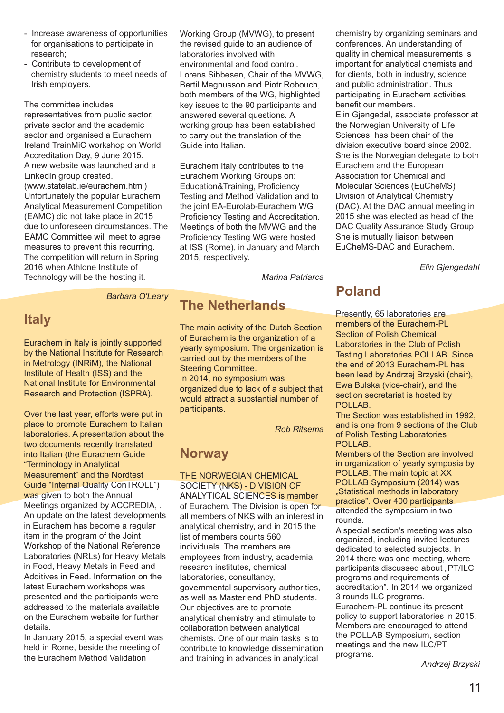- Increase awareness of opportunities for organisations to participate in research;
- Contribute to development of chemistry students to meet needs of Irish employers.

The committee includes representatives from public sector, private sector and the academic sector and organised a Eurachem Ireland TrainMiC workshop on World Accreditation Day, 9 June 2015. A new website was launched and a LinkedIn group created. (www.statelab.ie/eurachem.html) Unfortunately the popular Eurachem Analytical Measurement Competition (EAMC) did not take place in 2015 due to unforeseen circumstances. The EAMC Committee will meet to agree measures to prevent this recurring. The competition will return in Spring 2016 when Athlone Institute of Technology will be the hosting it.

Working Group (MVWG), to present the revised guide to an audience of laboratories involved with environmental and food control. Lorens Sibbesen, Chair of the MVWG, Bertil Magnusson and Piotr Robouch, both members of the WG, highlighted key issues to the 90 participants and answered several questions. A working group has been established to carry out the translation of the Guide into Italian.

Eurachem Italy contributes to the Eurachem Working Groups on: Education&Training, Proficiency Testing and Method Validation and to the joint EA-Eurolab-Eurachem WG Proficiency Testing and Accreditation. Meetings of both the MVWG and the Proficiency Testing WG were hosted at ISS (Rome), in January and March 2015, respectively.

*Marina Patriarca*

### **The Netherlands**

The main activity of the Dutch Section of Eurachem is the organization of a yearly symposium. The organization is carried out by the members of the Steering Committee. In 2014, no symposium was organized due to lack of a subject that would attract a substantial number of participants.

*Rob Ritsema*

#### **Norway**

THE NORWEGIAN CHEMICAL SOCIETY (NKS) - DIVISION OF ANALYTICAL SCIENCES is member of Eurachem. The Division is open for all members of NKS with an interest in analytical chemistry, and in 2015 the list of members counts 560 individuals. The members are employees from industry, academia, research institutes, chemical laboratories, consultancy, governmental supervisory authorities, as well as Master end PhD students. Our objectives are to promote analytical chemistry and stimulate to collaboration between analytical chemists. One of our main tasks is to contribute to knowledge dissemination and training in advances in analytical

chemistry by organizing seminars and conferences. An understanding of quality in chemical measurements is important for analytical chemists and for clients, both in industry, science and public administration. Thus participating in Eurachem activities benefit our members.

Elin Gjengedal, associate professor at the Norwegian University of Life Sciences, has been chair of the division executive board since 2002. She is the Norwegian delegate to both Eurachem and the European Association for Chemical and Molecular Sciences (EuCheMS) Division of Analytical Chemistry (DAC). At the DAC annual meeting in 2015 she was elected as head of the DAC Quality Assurance Study Group She is mutually liaison between EuCheMS-DAC and Eurachem.

*Elin Gjengedahl*

### **Poland**

Presently, 65 laboratories are members of the Eurachem-PL Section of Polish Chemical Laboratories in the Club of Polish Testing Laboratories POLLAB. Since the end of 2013 Eurachem-PL has been lead by Andrzej Brzyski (chair), Ewa Bulska (vice-chair), and the section secretariat is hosted by POLLAB.

The Section was established in 1992, and is one from 9 sections of the Club of Polish Testing Laboratories POLLAB.

Members of the Section are involved in organization of yearly symposia by POLLAB. The main topic at XX POLLAB Symposium (2014) was "Statistical methods in laboratory

practice". Over 400 participants attended the symposium in two rounds.

A special section's meeting was also organized, including invited lectures dedicated to selected subjects. In 2014 there was one meeting, where participants discussed about "PT/ILC programs and requirements of accreditation". In 2014 we organized 3 rounds ILC programs. Eurachem-PL continue its present policy to support laboratories in 2015. Members are encouraged to attend the POLLAB Symposium, section

programs.

meetings and the new ILC/PT

*Andrzej Brzyski*

#### *Barbara O'Leary*

### **Italy**

Eurachem in Italy is jointly supported by the National Institute for Research in Metrology (INRiM), the National Institute of Health (ISS) and the National Institute for Environmental Research and Protection (ISPRA).

Over the last year, efforts were put in place to promote Eurachem to Italian laboratories. A presentation about the two documents recently translated into Italian (the Eurachem Guide "Terminology in Analytical Measurement" and the Nordtest Guide "Internal Quality ConTROLL") was given to both the Annual Meetings organized by ACCREDIA, . An update on the latest developments in Eurachem has become a regular item in the program of the Joint Workshop of the National Reference Laboratories (NRLs) for Heavy Metals in Food, Heavy Metals in Feed and Additives in Feed. Information on the latest Eurachem workshops was presented and the participants were addressed to the materials available on the Eurachem website for further details.

In January 2015, a special event was held in Rome, beside the meeting of the Eurachem Method Validation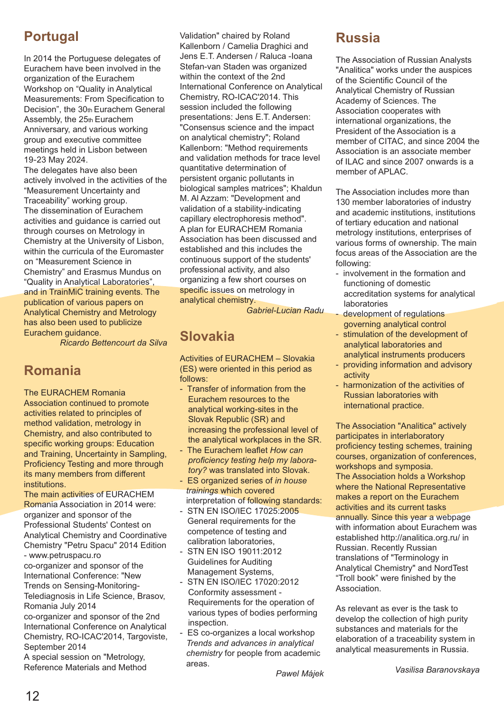### **Portugal**

In 2014 the Portuguese delegates of Eurachem have been involved in the organization of the Eurachem Workshop on "Quality in Analytical Measurements: From Specification to Decision", the 30th Eurachem General Assembly, the 25th Eurachem Anniversary, and various working group and executive committee meetings held in Lisbon between Anniversary, and<br>group and execut<br>meetings held in<br>19-23 May 2024. 19-23 May 2024.

The delegates have also been actively involved in the activities of the "Measurement Uncertainty and Traceability" working group. The dissemination of Eurachem activities and guidance is carried out through courses on Metrology in Chemistry at the University of Lisbon, within the curricula of the Euromaster on "Measurement Science in Chemistry" and Erasmus Mundus on "Quality in Analytical Laboratories", and in TrainMiC training events. The publication of various papers on Analytical Chemistry and Metrology has also been used to publicize Eurachem guidance.

*Ricardo Bettencourt da Silva*

### **Romania**

The EURACHEM Romania Association continued to promote activities related to principles of method validation, metrology in Chemistry, and also contributed to specific working groups: Education and Training, Uncertainty in Sampling, Proficiency Testing and more through its many members from different institutions.

The main activities of EURACHEM Romania Association in 2014 were: organizer and sponsor of the Professional Students' Contest on Analytical Chemistry and Coordinative Chemistry "Petru Spacu" 2014 Edition - www.petruspacu.ro

co-organizer and sponsor of the International Conference: "New Trends on Sensing-Monitoring-Telediagnosis in Life Science, Brasov, Romania July 2014

co-organizer and sponsor of the 2nd International Conference on Analytical Chemistry, RO-ICAC'2014, Targoviste, September 2014

A special session on "Metrology, Reference Materials and Method Validation" chaired by Roland Kallenborn / Camelia Draghici and Jens E.T. Andersen / Raluca -Ioana Stefan-van Staden was organized within the context of the 2nd International Conference on Analytical Chemistry, RO-ICAC'2014. This session included the following presentations: Jens E.T. Andersen: "Consensus science and the impact on analytical chemistry"; Roland Kallenborn: "Method requirements and validation methods for trace level quantitative determination of persistent organic pollutants in biological samples matrices"; Khaldun M. Al Azzam: "Development and validation of a stability-indicating capillary electrophoresis method". A plan for EURACHEM Romania Association has been discussed and established and this includes the continuous support of the students' professional activity, and also organizing a few short courses on specific issues on metrology in analytical chemistry.

*Gabriel-Lucian Radu*

## **Slovakia**

Activities of EURACHEM – Slovakia (ES) were oriented in this period as follows:

- Transfer of information from the Eurachem resources to the analytical working-sites in the Slovak Republic (SR) and increasing the professional level of the analytical workplaces in the SR.
- The Eurachem leaflet *How can proficiency testing help my laboratory?* was translated into Slovak.
- ES organized series of *in house trainings* which covered interpretation of following standards:
- STN EN ISO/IEC 17025:2005 General requirements for the competence of testing and calibration laboratories,
- STN EN ISO 19011:2012 Guidelines for Auditing Management Systems,
- STN EN ISO/IEC 17020:2012 Conformity assessment - Requirements for the operation of various types of bodies performing inspection.
- ES co-organizes a local workshop *Trends and advances in analytical chemistry* for people from academic areas.

### **Russia**

The Association of Russian Analysts "Analitica" works under the auspices of the Scientific Council of the Analytical Chemistry of Russian Academy of Sciences. The Association cooperates with international organizations, the President of the Association is a member of CITAC, and since 2004 the Association is an associate member of ILAC and since 2007 onwards is a member of APLAC.

The Association includes more than 130 member laboratories of industry and academic institutions, institutions of tertiary education and national metrology institutions, enterprises of various forms of ownership. The main focus areas of the Association are the following:

- involvement in the formation and functioning of domestic accreditation systems for analytical laboratories
- development of regulations governing analytical control
- stimulation of the development of analytical laboratories and analytical instruments producers
- providing information and advisory activity
- harmonization of the activities of Russian laboratories with international practice.

The Association "Analitica" actively participates in interlaboratory proficiency testing schemes, training courses, organization of conferences, workshops and symposia. The Association holds a Workshop where the National Representative makes a report on the Eurachem activities and its current tasks annually. Since this year a webpage with information about Eurachem was established http://analitica.org.ru/ in Russian. Recently Russian translations of "Terminology in Analytical Chemistry" and NordTest "Troll book" were finished by the Association.

As relevant as ever is the task to develop the collection of high purity substances and materials for the elaboration of a traceability system in analytical measurements in Russia.

*Vasilisa a Baranovskay*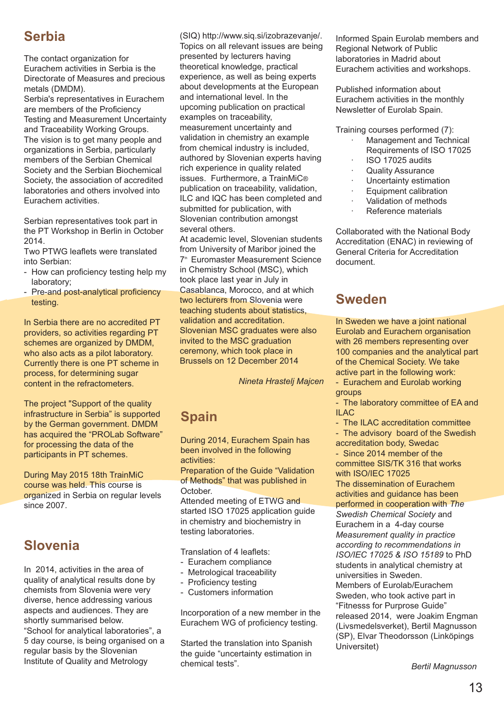### **Serbia**

The contact organization for Eurachem activities in Serbia is the Directorate of Measures and precious metals (DMDM).

Serbia's representatives in Eurachem are members of the Proficiency Testing and Measurement Uncertainty and Traceability Working Groups. The vision is to get many people and organizations in Serbia, particularly members of the Serbian Chemical Society and the Serbian Biochemical Society, the association of accredited laboratories and others involved into Eurachem activities.

Serbian representatives took part in the PT Workshop in Berlin in October 2014.

Two PTWG leaflets were translated into Serbian:

- How can proficiency testing help my laboratory;
- Pre-and post-analytical proficiency testing.

In Serbia there are no accredited PT providers, so activities regarding PT schemes are organized by DMDM, who also acts as a pilot laboratory. Currently there is one PT scheme in process, for determining sugar content in the refractometers.

The project "Support of the quality" infrastructure in Serbia" is supported by the German government. DMDM has acquired the "PROLab Software" for processing the data of the participants in PT schemes.

During May 2015 18th TrainMiC course was held. This course is organized in Serbia on regular levels since 2007.

### **Slovenia**

In 2014, activities in the area of quality of analytical results done by chemists from Slovenia were very diverse, hence addressing various aspects and audiences. They are shortly summarised below. "School for analytical laboratories", a 5 day course, is being organised on a regular basis by the Slovenian Institute of Quality and Metrology

(SIQ) http://www.sig.si/izobrazevanie/. Topics on all relevant issues are being presented by lecturers having theoretical knowledge, practical experience, as well as being experts about developments at the European and international level. In the upcoming publication on practical examples on traceability, measurement uncertainty and validation in chemistry an example from chemical industry is included, authored by Slovenian experts having rich experience in quality related issues. Furthermore, a TrainMiC® publication on traceability, validation, ILC and IQC has been completed and submitted for publication, with Slovenian contribution amongst several others.

At academic level, Slovenian students from University of Maribor joined the 7<sup>th</sup> Euromaster Measurement Science in Chemistry School (MSC), which took place last year in July in Casablanca, Morocco, and at which two lecturers from Slovenia were teaching students about statistics, validation and accreditation. Slovenian MSC graduates were also invited to the MSC graduation ceremony, which took place in Brussels on 12 December 2014

*Nineta Hrastelj Majcen*

## **Spain**

During 2014, Eurachem Spain has been involved in the following activities:

Preparation of the Guide "Validation of Methods" that was published in October.

Attended meeting of ETWG and started ISO 17025 application guide in chemistry and biochemistry in testing laboratories.

Translation of 4 leaflets:

- Eurachem compliance
- Metrological traceability
- Proficiency testing
- Customers information

Incorporation of a new member in the Eurachem WG of proficiency testing.

Started the translation into Spanish the guide "uncertainty estimation in chemical tests".

Informed Spain Eurolab members and Regional Network of Public laboratories in Madrid about Eurachem activities and workshops.

Published information about Eurachem activities in the monthly Newsletter of Eurolab Spain.

Training courses performed (7):

- · Management and Technical Requirements of ISO 17025
- · ISO 17025 audits
- **Quality Assurance**
- Uncertainty estimation Equipment calibration
- · Validation of methods
- 
- Reference materials

Collaborated with the National Body Accreditation (ENAC) in reviewing of General Criteria for Accreditation document.

### **Sweden**

In Sweden we have a joint national Eurolab and Eurachem organisation with 26 members representing over 100 companies and the analytical part of the Chemical Society. We take active part in the following work:

- Eurachem and Eurolab working groups

- The laboratory committee of EA and ILAC

- The ILAC accreditation committee
- The advisory board of the Swedish accreditation body, Swedac

- Since 2014 member of the committee SIS/TK 316 that works with ISO/IEC 17025

The dissemination of Eurachem activities and guidance has been performed in cooperation with *The Swedish Chemical Society* and Eurachem in a 4-day course *Measurement quality in practice according to recommendations in ISO/IEC 17025 & ISO 15189* to PhD students in analytical chemistry at universities in Sweden. Members of Eurolab/Eurachem Sweden, who took active part in "Fitnesss for Purprose Guide" released 2014, were Joakim Engman (Livsmedelsverket), Bertil Magnusson (SP), Elvar Theodorsson (Linköpings

Universitet)

*Bertil Magnusson*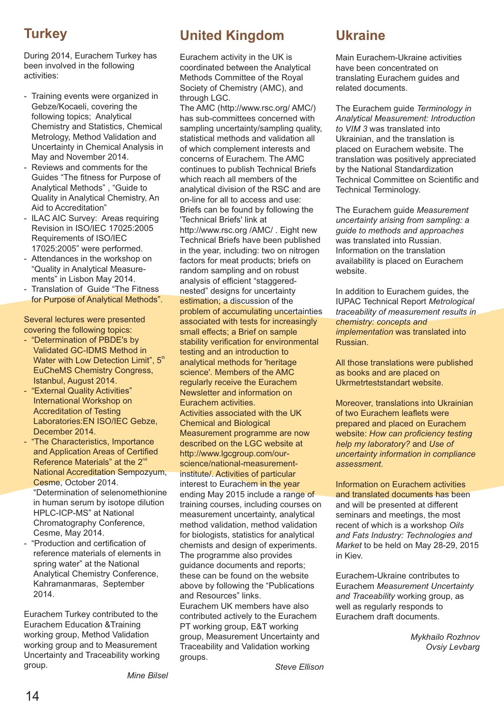### **Turkey**

During 2014, Eurachem Turkey has been involved in the following activities:

- Training events were organized in Gebze/Kocaeli, covering the following topics; Analytical Chemistry and Statistics, Chemical Metrology, Method Validation and Uncertainty in Chemical Analysis in May and November 2014.
- Reviews and comments for the Guides "The fitness for Purpose of Analytical Methods", "Guide to Quality in Analytical Chemistry, An Aid to Accreditation"
- ILAC AIC Survey: Areas requiring Revision in ISO/IEC 17025:2005 Requirements of ISO/IEC 17025:2005" were performed.
- Attendances in the workshop on "Quality in Analytical Measurements" in Lisbon May 2014.
- Translation of Guide "The Fitness for Purpose of Analytical Methods".

Several lectures were presented covering the following topics:

- "Determination of PBDE's by Validated GC-IDMS Method in Water with Low Detection Limit", 5<sup>th</sup> EuCheMS Chemistry Congress, Istanbul, August 2014.
- "External Quality Activities" International Workshop on Accreditation of Testing Laboratories:EN ISO/IEC Gebze, December 2014.
- "The Characteristics, Importance and Application Areas of Certified Reference Materials" at the 2<sup>nd</sup> National Accreditation Sempozyum, Cesme, October 2014. "Determination of selenomethionine

in human serum by isotope dilution HPLC-ICP-MS" at National Chromatography Conference, Cesme, May 2014.

- c "Production and ertification of reference materials of elements in spring water" at the National Analytical Chemistry Conference, Kahramanmaras, September 2014.

Eurachem Turkey contributed to the Eurachem Education &Training working group, Method Validation working group and to Measurement Uncertainty and Traceability working group.

## **United Kingdom**

Eurachem activity in the UK is coordinated between the Analytical Methods Committee of the Royal Society of Chemistry (AMC), and through LGC.

The AMC (http://www.rsc.org/ AMC/) has sub-committees concerned with sampling uncertainty/sampling quality, statistical methods and validation all of which complement interests and concerns of Eurachem. The AMC continues to publish Technical Briefs which reach all members of the analytical division of the RSC and are on-line for all to access and use: Briefs can be found by following the 'Technical Briefs' link at http://www.rsc.org /AMC/ . Eight new Technical Briefs have been published in the year, including: two on nitrogen factors for meat products; briefs on random sampling and on robust analysis of efficient "staggerednested" designs for uncertainty estimation; a discussion of the problem of accumulating uncertainties associated with tests for increasingly small effects; a Brief on sample stability verification for environmental testing and an introduction to analytical methods for 'heritage science'. Members of the AMC regularly receive the Eurachem Newsletter and information on Eurachem activities. Activities associated with the UK Chemical and Biological Measurement programme are now described on the LGC website at http://www.lgcgroup.com/ourscience/national-measurementinstitute/. Activities of particular interest to Eurachem in the year ending May 2015 include a range of training courses, including courses on measurement uncertainty, analytical method validation, method validation for biologists, statistics for analytical chemists and design of experiments. The programme also provides guidance documents and reports; these can be found on the website above by following the "Publications and Resources" links. Eurachem UK members have also contributed actively to the Eurachem PT working group, E&T working group, Measurement Uncertainty and Traceability and Validation working groups.

### **Ukraine**

Main Eurachem-Ukraine activities have been concentrated on translating Eurachem guides and related documents.

The Eurachem guide *Terminology in Analytical Measurement: Introduction to VIM 3* was translated into Ukrainian, and the translation is placed on Eurachem website. The translation was positively appreciated by the National Standardization Technical Committee on Scientific and Technical Terminology.

The Eurachem guide *Measurement uncertainty arising from sampling: a guide to methods and approaches* was translated into Russian. Information on the translation availability is placed on Eurachem website.

In addition to Eurachem guides, the IUPAC Technical Report *Metrological traceability of measurement results in chemistry: concepts and implementation* was translated into Russian.

All those translations were published as books and are placed on Ukrmetrteststandart website.

Moreover, translations into Ukrainian of two Eurachem leaflets were prepared and placed on Eurachem website: *How can proficiency testing help my laboratory?* and *Use of uncertainty information in compliance assessment*.

Information on Eurachem activities and translated documents has been and will be presented at different seminars and meetings, the most recent of which is a workshop *Oils and Fats Industry: Technologies and Market* to be held on May 28-29, 2015 in Kiev.

Eurachem-Ukraine contributes to Eurachem *Measurement Uncertainty and Traceability* working group, as well as regularly responds to Eurachem draft documents.

> *Mykhailo Rozhnov Ovsiy Levbarg*

*Steve Ellison*

*Mine Bilsel*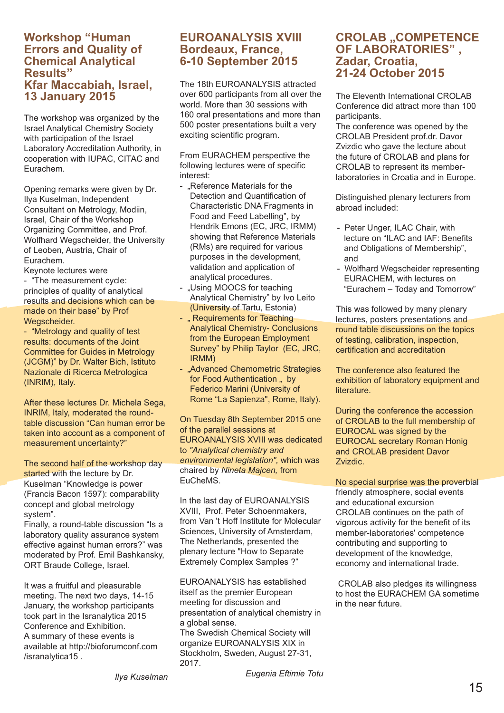#### **Workshop "Human Errors and Quality of Chemical Analytical Results" Kfar Maccabiah, Israel, 13 January 2015**

The workshop was organized by the Israel Analytical Chemistry Society with participation of the Israel Laboratory Accreditation Authority, in cooperation with IUPAC, CITAC and Eurachem.

Opening remarks were given by Dr. Ilya Kuselman, Independent Consultant on Metrology, Modiin, Israel, Chair of the Workshop Organizing Committee, and Prof. Wolfhard Wegscheider, the University of Leoben, Austria, Chair of Eurachem.

Keynote lectures were - "The measurement cycle: principles of quality of analytical results and decisions which can be made on their base" by Prof Wegscheider.

- "Metrology and quality of test results: documents of the Joint Committee for Guides in Metrology (JCGM)" by Dr. Walter Bich, Istituto Nazionale di Ricerca Metrologica (INRIM), Italy.

After these lectures Dr. Michela Sega, INRIM, Italy, moderated the roundtable discussion "Can human error be taken into account as a component of measurement uncertainty?"

The second half of the workshop day started with the lecture by Dr. Kuselman "Knowledge is power (Francis Bacon 1597): comparability concept and global metrology system".

Finally, a round-table discussion "Is a laboratory quality assurance system effective against human errors?" was moderated by Prof. Emil Bashkansky, ORT Braude College, Israel.

It was a fruitful and pleasurable meeting. The next two days, 14-15 January, the workshop participants took part in the Isranalytica 2015 Conference and Exhibition. A summary of these events is available at http://bioforumconf.com /isranalytica15 .

#### **EUROANALYSIS XVIII Bordeaux, France, 6-10 September 2015**

The 18th EUROANALYSIS attracted over 600 participants from all over the world. More than 30 sessions with 160 oral presentations and more than 500 poster presentations built a very exciting scientific program.

From EURACHEM perspective the following lectures were of specific interest:

- Reference Materials for the Detection and Quantification of Characteristic DNA Fragments in Food and Feed Labelling", by Hendrik Emons (EC, JRC, IRMM) showing that Reference Materials (RMs) are required for various purposes in the development, validation and application of analytical procedures.
- ..Using MOOCS for teaching Analytical Chemistry" by Ivo Leito (University of Tartu, Estonia)
- .. Requirements for Teaching Analytical Chemistry- Conclusions from the European Employment Survey" by Philip Taylor (EC, JRC, IRMM)
- "Advanced Chemometric Strategies for Food Authentication .. by Federico Marini (University of Rome "La Sapienza", Rome, Italy).

On Tuesday 8th September 2015 one of the parallel sessions at EUROANALYSIS XVIII was dedicated to *"Analytical chemistry and environmental legislation",* which was chaired by Nineta Majcen, from EuCheMS.

In the last day of EUROANALYSIS XVIII, Prof. Peter Schoenmakers. from Van 't Hoff Institute for Molecular Sciences, University of Amsterdam, The Netherlands, presented the plenary lecture "How to Separate Extremely Complex Samples ?"

EUROANALYSIS has established itself as the premier European meeting for discussion and presentation of analytical chemistry in a global sense. The Swedish Chemical Society will organize EUROANALYSIS XIX in Stockholm, Sweden, August 27-31, 2017.

#### **CROLAB , COMPETENCE OF LABORATORIES" , Zadar, Croatia, 21-24 October 2015**

The Eleventh International CROLAB Conference did attract more than 100 participants.

The conference was opened by the CROLAB President prof.dr. Davor Zvizdic who gave the lecture about the future of CROLAB and plans for CROLAB to represent its memberlaboratories in Croatia and in Europe.

Distinguished plenary lecturers from abroad included:

- Peter Unger, ILAC Chair, with lecture on "ILAC and IAF: Benefits and Obligations of Membership", and
- Wolfhard Wegscheider representing EURACHEM, with lectures on "Eurachem – Today and Tomorrow"

This was followed by many plenary lectures, posters presentations and round table discussions on the topics of testing, calibration, inspection, certification and accreditation

The conference also featured the exhibition of laboratory equipment and literature.

During the conference the accession of CROLAB to the full membership of EUROCAL was signed by the EUROCAL secretary Roman Honig and CROLAB president Davor Zvizdic.

No special surprise was the proverbial

friendly atmosphere, social events and educational excursion CROLAB continues on the path of vigorous activity for the benefit of its member-laboratories' competence contributing and supporting to development of the knowledge, economy and international trade.

CROLAB also pledges its willingness to host the EURACHEM GA sometime in the near future.

*Eugenia Eftimie Totu*